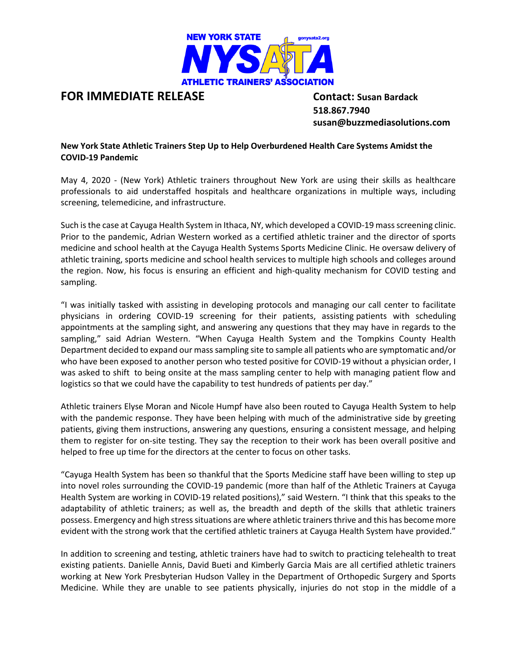

## **FOR IMMEDIATE RELEASE Contact: Susan Bardack**

 **518.867.7940 susan@buzzmediasolutions.com**

**New York State Athletic Trainers Step Up to Help Overburdened Health Care Systems Amidst the COVID-19 Pandemic**

May 4, 2020 - (New York) Athletic trainers throughout New York are using their skills as healthcare professionals to aid understaffed hospitals and healthcare organizations in multiple ways, including screening, telemedicine, and infrastructure.

Such is the case at Cayuga Health System in Ithaca, NY, which developed a COVID-19 mass screening clinic. Prior to the pandemic, Adrian Western worked as a certified athletic trainer and the director of sports medicine and school health at the Cayuga Health Systems Sports Medicine Clinic. He oversaw delivery of athletic training, sports medicine and school health services to multiple high schools and colleges around the region. Now, his focus is ensuring an efficient and high-quality mechanism for COVID testing and sampling.

"I was initially tasked with assisting in developing protocols and managing our call center to facilitate physicians in ordering COVID-19 screening for their patients, assisting patients with scheduling appointments at the sampling sight, and answering any questions that they may have in regards to the sampling," said Adrian Western. "When Cayuga Health System and the Tompkins County Health Department decided to expand our mass sampling site to sample all patients who are symptomatic and/or who have been exposed to another person who tested positive for COVID-19 without a physician order, I was asked to shift to being onsite at the mass sampling center to help with managing patient flow and logistics so that we could have the capability to test hundreds of patients per day."

Athletic trainers Elyse Moran and Nicole Humpf have also been routed to Cayuga Health System to help with the pandemic response. They have been helping with much of the administrative side by greeting patients, giving them instructions, answering any questions, ensuring a consistent message, and helping them to register for on-site testing. They say the reception to their work has been overall positive and helped to free up time for the directors at the center to focus on other tasks.

"Cayuga Health System has been so thankful that the Sports Medicine staff have been willing to step up into novel roles surrounding the COVID-19 pandemic (more than half of the Athletic Trainers at Cayuga Health System are working in COVID-19 related positions)," said Western. "I think that this speaks to the adaptability of athletic trainers; as well as, the breadth and depth of the skills that athletic trainers possess. Emergency and high stress situations are where athletic trainers thrive and this has become more evident with the strong work that the certified athletic trainers at Cayuga Health System have provided."

In addition to screening and testing, athletic trainers have had to switch to practicing telehealth to treat existing patients. Danielle Annis, David Bueti and Kimberly Garcia Mais are all certified athletic trainers working at New York Presbyterian Hudson Valley in the Department of Orthopedic Surgery and Sports Medicine. While they are unable to see patients physically, injuries do not stop in the middle of a